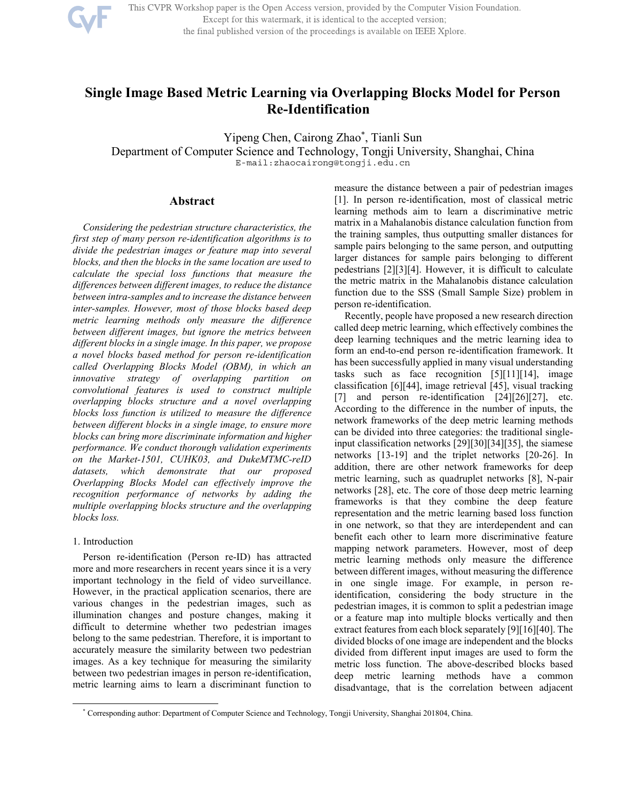

This CVPR Workshop paper is the Open Access version, provided by the Computer Vision Foundation. Except for this watermark, it is identical to the accepted version;

# the final published version of the proceedings is available on IEEE Xplore.

# **Single Image Based Metric Learning via Overlapping Blocks Model for Person Re-Identification**

Yipeng Chen, Cairong Zhao\* , Tianli Sun

Department of Computer Science and Technology, Tongji University, Shanghai, China E-mail:zhaocairong@tongji.edu.cn

# **Abstract**

*Considering the pedestrian structure characteristics, the first step of many person re-identification algorithms is to divide the pedestrian images or feature map into several blocks, and then the blocks in the same location are used to calculate the special loss functions that measure the differences between different images, to reduce the distance between intra-samples and to increase the distance between inter-samples. However, most of those blocks based deep metric learning methods only measure the difference between different images, but ignore the metrics between different blocks in a single image. In this paper, we propose a novel blocks based method for person re-identification called Overlapping Blocks Model (OBM), in which an innovative strategy of overlapping partition on convolutional features is used to construct multiple overlapping blocks structure and a novel overlapping blocks loss function is utilized to measure the difference between different blocks in a single image, to ensure more blocks can bring more discriminate information and higher performance. We conduct thorough validation experiments on the Market-1501, CUHK03, and DukeMTMC-reID datasets, which demonstrate that our proposed Overlapping Blocks Model can effectively improve the recognition performance of networks by adding the multiple overlapping blocks structure and the overlapping blocks loss.* 

# 1. Introduction

-

Person re-identification (Person re-ID) has attracted more and more researchers in recent years since it is a very important technology in the field of video surveillance. However, in the practical application scenarios, there are various changes in the pedestrian images, such as illumination changes and posture changes, making it difficult to determine whether two pedestrian images belong to the same pedestrian. Therefore, it is important to accurately measure the similarity between two pedestrian images. As a key technique for measuring the similarity between two pedestrian images in person re-identification, metric learning aims to learn a discriminant function to measure the distance between a pair of pedestrian images [1]. In person re-identification, most of classical metric learning methods aim to learn a discriminative metric matrix in a Mahalanobis distance calculation function from the training samples, thus outputting smaller distances for sample pairs belonging to the same person, and outputting larger distances for sample pairs belonging to different pedestrians [2][3][4]. However, it is difficult to calculate the metric matrix in the Mahalanobis distance calculation function due to the SSS (Small Sample Size) problem in person re-identification.

Recently, people have proposed a new research direction called deep metric learning, which effectively combines the deep learning techniques and the metric learning idea to form an end-to-end person re-identification framework. It has been successfully applied in many visual understanding tasks such as face recognition [5][11][14], image classification [6][44], image retrieval [45], visual tracking [7] and person re-identification  $[24][26][27]$ , etc. According to the difference in the number of inputs, the network frameworks of the deep metric learning methods can be divided into three categories: the traditional singleinput classification networks [29][30][34][35], the siamese networks [13-19] and the triplet networks [20-26]. In addition, there are other network frameworks for deep metric learning, such as quadruplet networks [8], N-pair networks [28], etc. The core of those deep metric learning frameworks is that they combine the deep feature representation and the metric learning based loss function in one network, so that they are interdependent and can benefit each other to learn more discriminative feature mapping network parameters. However, most of deep metric learning methods only measure the difference between different images, without measuring the difference in one single image. For example, in person reidentification, considering the body structure in the pedestrian images, it is common to split a pedestrian image or a feature map into multiple blocks vertically and then extract features from each block separately [9][16][40]. The divided blocks of one image are independent and the blocks divided from different input images are used to form the metric loss function. The above-described blocks based deep metric learning methods have a common disadvantage, that is the correlation between adjacent

<sup>\*</sup> Corresponding author: Department of Computer Science and Technology, Tongji University, Shanghai 201804, China.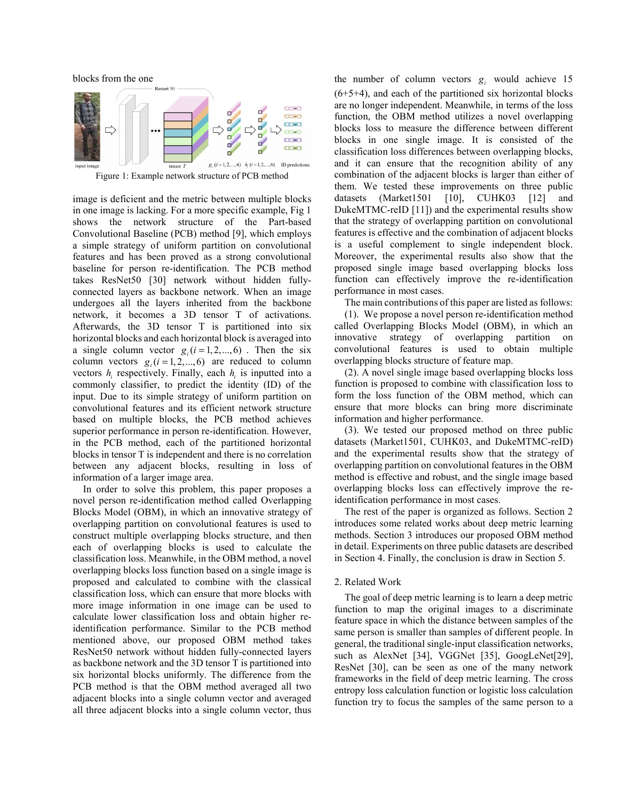blocks from the one<br>Resnet 50



Figure 1: Example network structure of PCB method

image is deficient and the metric between multiple blocks in one image is lacking. For a more specific example, Fig 1 shows the network structure of the Part-based Convolutional Baseline (PCB) method [9], which employs a simple strategy of uniform partition on convolutional features and has been proved as a strong convolutional baseline for person re-identification. The PCB method takes ResNet50 [30] network without hidden fullyconnected layers as backbone network. When an image undergoes all the layers inherited from the backbone network, it becomes a 3D tensor T of activations. Afterwards, the 3D tensor T is partitioned into six horizontal blocks and each horizontal block is averaged into a single column vector  $g_i$  ( $i = 1, 2, ..., 6$ ). Then the six column vectors  $g_i$  ( $i = 1, 2, ..., 6$ ) are reduced to column vectors  $h_i$  respectively. Finally, each  $h_i$  is inputted into a commonly classifier, to predict the identity (ID) of the input. Due to its simple strategy of uniform partition on convolutional features and its efficient network structure based on multiple blocks, the PCB method achieves superior performance in person re-identification. However, in the PCB method, each of the partitioned horizontal blocks in tensor T is independent and there is no correlation between any adjacent blocks, resulting in loss of information of a larger image area.

In order to solve this problem, this paper proposes a novel person re-identification method called Overlapping Blocks Model (OBM), in which an innovative strategy of overlapping partition on convolutional features is used to construct multiple overlapping blocks structure, and then each of overlapping blocks is used to calculate the classification loss. Meanwhile, in the OBM method, a novel overlapping blocks loss function based on a single image is proposed and calculated to combine with the classical classification loss, which can ensure that more blocks with more image information in one image can be used to calculate lower classification loss and obtain higher reidentification performance. Similar to the PCB method mentioned above, our proposed OBM method takes ResNet50 network without hidden fully-connected layers as backbone network and the 3D tensor T is partitioned into six horizontal blocks uniformly. The difference from the PCB method is that the OBM method averaged all two adjacent blocks into a single column vector and averaged all three adjacent blocks into a single column vector, thus

the number of column vectors  $g_i$  would achieve 15 (6+5+4), and each of the partitioned six horizontal blocks are no longer independent. Meanwhile, in terms of the loss function, the OBM method utilizes a novel overlapping blocks loss to measure the difference between different blocks in one single image. It is consisted of the classification loss differences between overlapping blocks, and it can ensure that the recognition ability of any combination of the adjacent blocks is larger than either of them. We tested these improvements on three public datasets (Market1501 [10], CUHK03 [12] and DukeMTMC-reID [11]) and the experimental results show that the strategy of overlapping partition on convolutional features is effective and the combination of adjacent blocks is a useful complement to single independent block. Moreover, the experimental results also show that the proposed single image based overlapping blocks loss function can effectively improve the re-identification performance in most cases.

The main contributions of this paper are listed as follows:

(1). We propose a novel person re-identification method called Overlapping Blocks Model (OBM), in which an innovative strategy of overlapping partition on convolutional features is used to obtain multiple overlapping blocks structure of feature map.

(2). A novel single image based overlapping blocks loss function is proposed to combine with classification loss to form the loss function of the OBM method, which can ensure that more blocks can bring more discriminate information and higher performance.

(3). We tested our proposed method on three public datasets (Market1501, CUHK03, and DukeMTMC-reID) and the experimental results show that the strategy of overlapping partition on convolutional features in the OBM method is effective and robust, and the single image based overlapping blocks loss can effectively improve the reidentification performance in most cases.

The rest of the paper is organized as follows. Section 2 introduces some related works about deep metric learning methods. Section 3 introduces our proposed OBM method in detail. Experiments on three public datasets are described in Section 4. Finally, the conclusion is draw in Section 5.

#### 2. Related Work

The goal of deep metric learning is to learn a deep metric function to map the original images to a discriminate feature space in which the distance between samples of the same person is smaller than samples of different people. In general, the traditional single-input classification networks, such as AlexNet [34], VGGNet [35], GoogLeNet[29], ResNet [30], can be seen as one of the many network frameworks in the field of deep metric learning. The cross entropy loss calculation function or logistic loss calculation function try to focus the samples of the same person to a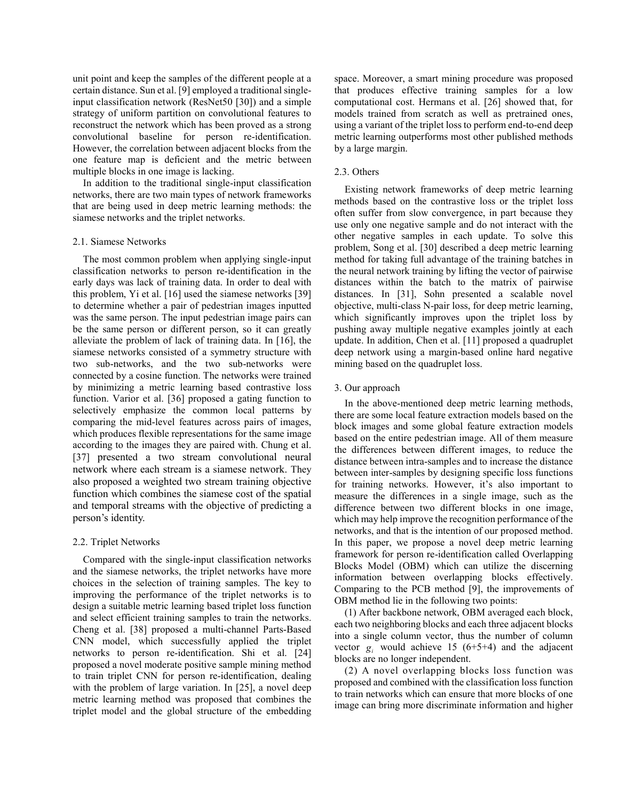unit point and keep the samples of the different people at a certain distance. Sun et al. [9] employed a traditional singleinput classification network (ResNet50 [30]) and a simple strategy of uniform partition on convolutional features to reconstruct the network which has been proved as a strong convolutional baseline for person re-identification. However, the correlation between adjacent blocks from the one feature map is deficient and the metric between multiple blocks in one image is lacking.

In addition to the traditional single-input classification networks, there are two main types of network frameworks that are being used in deep metric learning methods: the siamese networks and the triplet networks.

## 2.1. Siamese Networks

The most common problem when applying single-input classification networks to person re-identification in the early days was lack of training data. In order to deal with this problem, Yi et al. [16] used the siamese networks [39] to determine whether a pair of pedestrian images inputted was the same person. The input pedestrian image pairs can be the same person or different person, so it can greatly alleviate the problem of lack of training data. In [16], the siamese networks consisted of a symmetry structure with two sub-networks, and the two sub-networks were connected by a cosine function. The networks were trained by minimizing a metric learning based contrastive loss function. Varior et al. [36] proposed a gating function to selectively emphasize the common local patterns by comparing the mid-level features across pairs of images, which produces flexible representations for the same image according to the images they are paired with. Chung et al. [37] presented a two stream convolutional neural network where each stream is a siamese network. They also proposed a weighted two stream training objective function which combines the siamese cost of the spatial and temporal streams with the objective of predicting a person's identity.

#### 2.2. Triplet Networks

Compared with the single-input classification networks and the siamese networks, the triplet networks have more choices in the selection of training samples. The key to improving the performance of the triplet networks is to design a suitable metric learning based triplet loss function and select efficient training samples to train the networks. Cheng et al. [38] proposed a multi-channel Parts-Based CNN model, which successfully applied the triplet networks to person re-identification. Shi et al. [24] proposed a novel moderate positive sample mining method to train triplet CNN for person re-identification, dealing with the problem of large variation. In [25], a novel deep metric learning method was proposed that combines the triplet model and the global structure of the embedding space. Moreover, a smart mining procedure was proposed that produces effective training samples for a low computational cost. Hermans et al. [26] showed that, for models trained from scratch as well as pretrained ones, using a variant of the triplet loss to perform end-to-end deep metric learning outperforms most other published methods by a large margin.

# 2.3. Others

Existing network frameworks of deep metric learning methods based on the contrastive loss or the triplet loss often suffer from slow convergence, in part because they use only one negative sample and do not interact with the other negative samples in each update. To solve this problem, Song et al. [30] described a deep metric learning method for taking full advantage of the training batches in the neural network training by lifting the vector of pairwise distances within the batch to the matrix of pairwise distances. In [31], Sohn presented a scalable novel objective, multi-class N-pair loss, for deep metric learning, which significantly improves upon the triplet loss by pushing away multiple negative examples jointly at each update. In addition, Chen et al. [11] proposed a quadruplet deep network using a margin-based online hard negative mining based on the quadruplet loss.

#### 3. Our approach

In the above-mentioned deep metric learning methods, there are some local feature extraction models based on the block images and some global feature extraction models based on the entire pedestrian image. All of them measure the differences between different images, to reduce the distance between intra-samples and to increase the distance between inter-samples by designing specific loss functions for training networks. However, it's also important to measure the differences in a single image, such as the difference between two different blocks in one image, which may help improve the recognition performance of the networks, and that is the intention of our proposed method. In this paper, we propose a novel deep metric learning framework for person re-identification called Overlapping Blocks Model (OBM) which can utilize the discerning information between overlapping blocks effectively. Comparing to the PCB method [9], the improvements of OBM method lie in the following two points:

(1) After backbone network, OBM averaged each block, each two neighboring blocks and each three adjacent blocks into a single column vector, thus the number of column vector  $g_i$  would achieve 15 (6+5+4) and the adjacent blocks are no longer independent.

(2) A novel overlapping blocks loss function was proposed and combined with the classification loss function to train networks which can ensure that more blocks of one image can bring more discriminate information and higher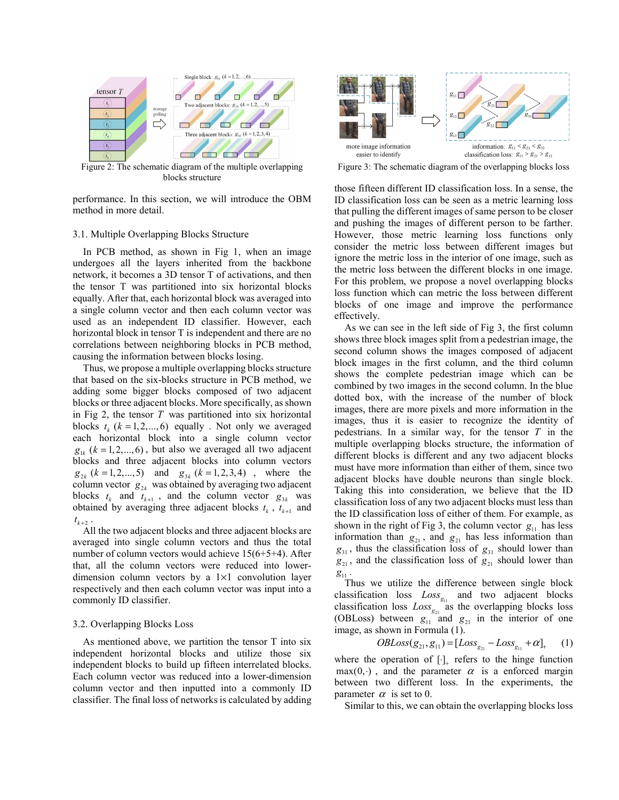

Figure 2: The schematic diagram of the multiple overlapping blocks structure

performance. In this section, we will introduce the OBM method in more detail.

#### 3.1. Multiple Overlapping Blocks Structure

In PCB method, as shown in Fig 1, when an image undergoes all the layers inherited from the backbone network, it becomes a 3D tensor T of activations, and then the tensor T was partitioned into six horizontal blocks equally. After that, each horizontal block was averaged into a single column vector and then each column vector was used as an independent ID classifier. However, each horizontal block in tensor T is independent and there are no correlations between neighboring blocks in PCB method, causing the information between blocks losing.

Thus, we propose a multiple overlapping blocks structure that based on the six-blocks structure in PCB method, we adding some bigger blocks composed of two adjacent blocks or three adjacent blocks. More specifically, as shown in Fig 2, the tensor *T* was partitioned into six horizontal blocks  $t_k$  ( $k = 1, 2, \dots, 6$ ) equally . Not only we averaged each horizontal block into a single column vector  $g_{1k}$  ( $k = 1, 2, \dots, 6$ ), but also we averaged all two adjacent blocks and three adjacent blocks into column vectors  $g_{2k}$  ( $k = 1, 2, ..., 5$ ) and  $g_{3k}$  ( $k = 1, 2, 3, 4$ ), where the column vector  $g_{2k}$  was obtained by averaging two adjacent blocks  $t_k$  and  $t_{k+1}$ , and the column vector  $g_{3k}$  was obtained by averaging three adjacent blocks  $t_k$ ,  $t_{k+1}$  and  $t_{k+2}$ .

All the two adjacent blocks and three adjacent blocks are averaged into single column vectors and thus the total number of column vectors would achieve 15(6+5+4). After that, all the column vectors were reduced into lowerdimension column vectors by a  $1 \times 1$  convolution layer respectively and then each column vector was input into a commonly ID classifier.

#### 3.2. Overlapping Blocks Loss

As mentioned above, we partition the tensor T into six independent horizontal blocks and utilize those six independent blocks to build up fifteen interrelated blocks. Each column vector was reduced into a lower-dimension column vector and then inputted into a commonly ID classifier. The final loss of networks is calculated by adding



Figure 3: The schematic diagram of the overlapping blocks loss

those fifteen different ID classification loss. In a sense, the ID classification loss can be seen as a metric learning loss that pulling the different images of same person to be closer and pushing the images of different person to be farther. However, those metric learning loss functions only consider the metric loss between different images but ignore the metric loss in the interior of one image, such as the metric loss between the different blocks in one image. For this problem, we propose a novel overlapping blocks loss function which can metric the loss between different blocks of one image and improve the performance effectively.

As we can see in the left side of Fig 3, the first column shows three block images split from a pedestrian image, the second column shows the images composed of adjacent block images in the first column, and the third column shows the complete pedestrian image which can be combined by two images in the second column. In the blue dotted box, with the increase of the number of block images, there are more pixels and more information in the images, thus it is easier to recognize the identity of pedestrians. In a similar way, for the tensor *T* in the multiple overlapping blocks structure, the information of different blocks is different and any two adjacent blocks must have more information than either of them, since two adjacent blocks have double neurons than single block. Taking this into consideration, we believe that the ID classification loss of any two adjacent blocks must less than the ID classification loss of either of them. For example, as shown in the right of Fig 3, the column vector  $g_{11}$  has less information than  $g_{21}$ , and  $g_{21}$  has less information than  $g_{31}$ , thus the classification loss of  $g_{31}$  should lower than  $g_{21}$ , and the classification loss of  $g_{21}$  should lower than  $g_{11}$ .

Thus we utilize the difference between single block classification loss  $Loss_{g_1}$  and two adjacent blocks classification loss  $Loss_{g_{21}}^{g_{11}}$  as the overlapping blocks loss (OBLoss) between  $g_{11}$  and  $g_{21}$  in the interior of one image, as shown in Formula (1).

$$
OBLoss(g_{21}, g_{11}) = [Loss_{g_{21}} - Loss_{g_{11}} + \alpha]_{+}
$$
 (1)

where the operation of  $[\cdot]_+$  refers to the hinge function  $max(0, \cdot)$ , and the parameter  $\alpha$  is a enforced margin between two different loss. In the experiments, the parameter  $\alpha$  is set to 0.

Similar to this, we can obtain the overlapping blocks loss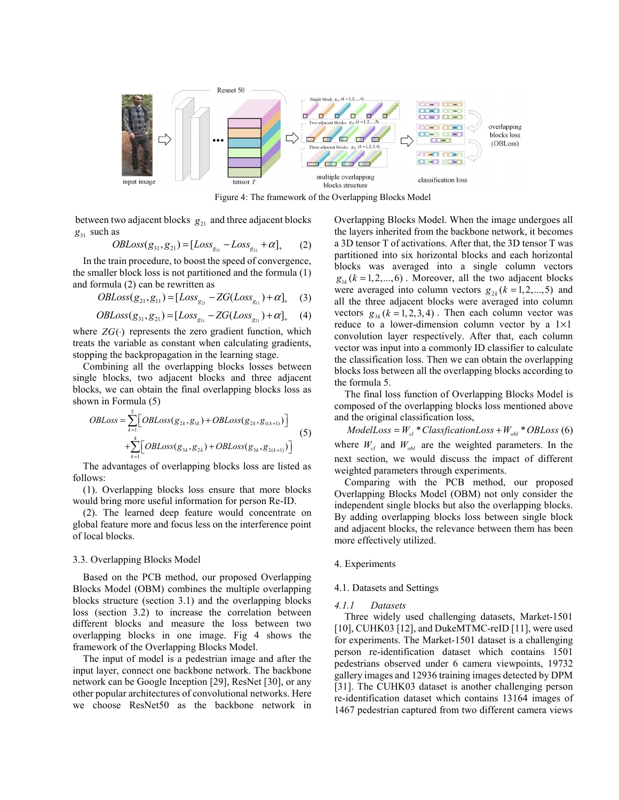

Figure 4: The framework of the Overlapping Blocks Model

between two adjacent blocks  $g_{21}$  and three adjacent blocks  $g_{31}$  such as

$$
OBIoss(g_{31}, g_{21}) = [Loss_{g_{31}} - Loss_{g_{21}} + \alpha]_{+}
$$
 (2)

In the train procedure, to boost the speed of convergence, the smaller block loss is not partitioned and the formula (1) and formula (2) can be rewritten as

$$
OBLoss(g_{21}, g_{11}) = [Loss_{g_{21}} - ZG(Loss_{g_{11}}) + \alpha]_{+}
$$
 (3)

$$
OBLoss(g_{31}, g_{21}) = [Loss_{g_{31}} - ZG(Loss_{g_{21}}) + \alpha]_{+}
$$
 (4)

where  $ZG(\cdot)$  represents the zero gradient function, which treats the variable as constant when calculating gradients, stopping the backpropagation in the learning stage.

Combining all the overlapping blocks losses between single blocks, two adjacent blocks and three adjacent blocks, we can obtain the final overlapping blocks loss as shown in Formula (5)

$$
OBIoss = \sum_{k=1}^{5} \Big[ OBLoss(g_{2k}, g_{1k}) + OBLoss(g_{2k}, g_{1(k+1)}) \Big] + \sum_{k=1}^{4} \Big[ OBLoss(g_{3k}, g_{2k}) + OBLoss(g_{3k}, g_{2(k+1)}) \Big]
$$
(5)

The advantages of overlapping blocks loss are listed as follows:

(1). Overlapping blocks loss ensure that more blocks would bring more useful information for person Re-ID.

(2). The learned deep feature would concentrate on global feature more and focus less on the interference point of local blocks.

#### 3.3. Overlapping Blocks Model

Based on the PCB method, our proposed Overlapping Blocks Model (OBM) combines the multiple overlapping blocks structure (section 3.1) and the overlapping blocks loss (section 3.2) to increase the correlation between different blocks and measure the loss between two overlapping blocks in one image. Fig 4 shows the framework of the Overlapping Blocks Model.

The input of model is a pedestrian image and after the input layer, connect one backbone network. The backbone network can be Google Inception [29], ResNet [30], or any other popular architectures of convolutional networks. Here we choose ResNet50 as the backbone network in

Overlapping Blocks Model. When the image undergoes all the layers inherited from the backbone network, it becomes a 3D tensor T of activations. After that, the 3D tensor T was partitioned into six horizontal blocks and each horizontal blocks was averaged into a single column vectors  $g_{1k}$  ( $k = 1, 2, \dots, 6$ ). Moreover, all the two adjacent blocks were averaged into column vectors  $g_{2k}$  ( $k = 1, 2, ..., 5$ ) and all the three adjacent blocks were averaged into column vectors  $g_{3k}$  ( $k = 1, 2, 3, 4$ ). Then each column vector was reduce to a lower-dimension column vector by a  $1 \times 1$ convolution layer respectively. After that, each column vector was input into a commonly ID classifier to calculate the classification loss. Then we can obtain the overlapping blocks loss between all the overlapping blocks according to the formula 5.

The final loss function of Overlapping Blocks Model is composed of the overlapping blocks loss mentioned above and the original classification loss,

 $ModelLoss = W_{cl} * ClassificationLoss + W_{obl} * OBLoss$  (6) where  $W_{cl}$  and  $W_{obl}$  are the weighted parameters. In the next section, we would discuss the impact of different weighted parameters through experiments.

Comparing with the PCB method, our proposed Overlapping Blocks Model (OBM) not only consider the independent single blocks but also the overlapping blocks. By adding overlapping blocks loss between single block and adjacent blocks, the relevance between them has been more effectively utilized.

#### 4. Experiments

#### 4.1. Datasets and Settings

#### *4.1.1 Datasets*

Three widely used challenging datasets, Market-1501 [10], CUHK03 [12], and DukeMTMC-reID [11], were used for experiments. The Market-1501 dataset is a challenging person re-identification dataset which contains 1501 pedestrians observed under 6 camera viewpoints, 19732 gallery images and 12936 training images detected by DPM [31]. The CUHK03 dataset is another challenging person re-identification dataset which contains 13164 images of 1467 pedestrian captured from two different camera views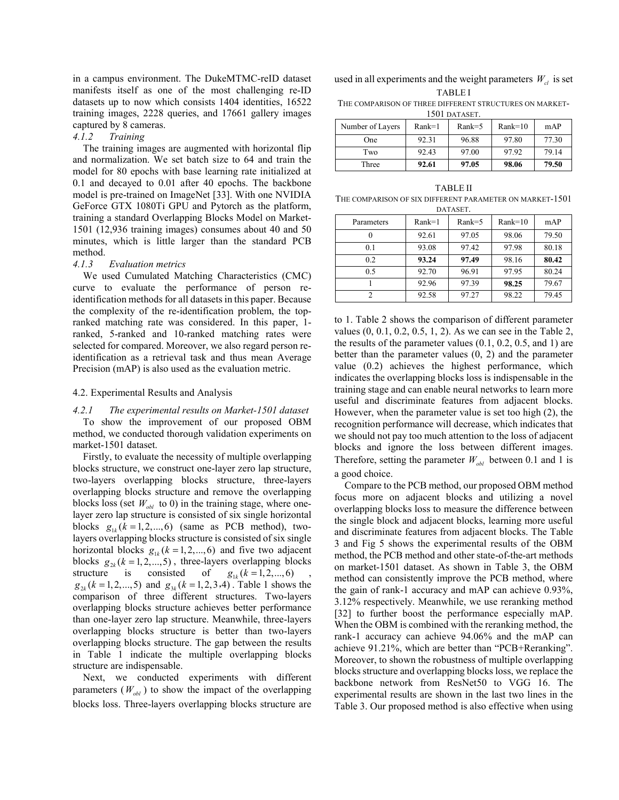in a campus environment. The DukeMTMC-reID dataset manifests itself as one of the most challenging re-ID datasets up to now which consists 1404 identities, 16522 training images, 2228 queries, and 17661 gallery images captured by 8 cameras.

# *4.1.2 Training*

The training images are augmented with horizontal flip and normalization. We set batch size to 64 and train the model for 80 epochs with base learning rate initialized at 0.1 and decayed to 0.01 after 40 epochs. The backbone model is pre-trained on ImageNet [33]. With one NVIDIA GeForce GTX 1080Ti GPU and Pytorch as the platform, training a standard Overlapping Blocks Model on Market-1501 (12,936 training images) consumes about 40 and 50 minutes, which is little larger than the standard PCB method.

#### *4.1.3 Evaluation metrics*

We used Cumulated Matching Characteristics (CMC) curve to evaluate the performance of person reidentification methods for all datasets in this paper. Because the complexity of the re-identification problem, the topranked matching rate was considered. In this paper, 1 ranked, 5-ranked and 10-ranked matching rates were selected for compared. Moreover, we also regard person reidentification as a retrieval task and thus mean Average Precision (mAP) is also used as the evaluation metric.

#### 4.2. Experimental Results and Analysis

# *4.2.1 The experimental results on Market-1501 dataset*  To show the improvement of our proposed OBM method, we conducted thorough validation experiments on market-1501 dataset.

Firstly, to evaluate the necessity of multiple overlapping blocks structure, we construct one-layer zero lap structure, two-layers overlapping blocks structure, three-layers overlapping blocks structure and remove the overlapping blocks loss (set  $W_{obl}$  to 0) in the training stage, where onelayer zero lap structure is consisted of six single horizontal blocks  $g_{1k}$   $(k = 1, 2, \dots, 6)$  (same as PCB method), twolayers overlapping blocks structure is consisted of six single horizontal blocks  $g_{1k}$  ( $k = 1, 2, ..., 6$ ) and five two adjacent blocks  $g_{2k}$  ( $k = 1, 2, ..., 5$ ), three-layers overlapping blocks structure is consisted of  $g_{1k}$  ( $k = 1, 2, ..., 6$ ),  $g_{2k}$  ( $k = 1, 2, ..., 5$ ) and  $g_{3k}$  ( $k = 1, 2, 3, 4$ ). Table 1 shows the comparison of three different structures. Two-layers overlapping blocks structure achieves better performance than one-layer zero lap structure. Meanwhile, three-layers overlapping blocks structure is better than two-layers overlapping blocks structure. The gap between the results in Table 1 indicate the multiple overlapping blocks structure are indispensable.

Next, we conducted experiments with different parameters  $(W_{obl})$  to show the impact of the overlapping blocks loss. Three-layers overlapping blocks structure are used in all experiments and the weight parameters  $W_c$  is set TABLE I

THE COMPARISON OF THREE DIFFERENT STRUCTURES ON MARKET-1501 DATASET.

| Number of Layers | $Rank=1$ | $Rank=5$ | $Rank=10$ | mAP   |
|------------------|----------|----------|-----------|-------|
| One              | 92.31    | 96.88    | 97.80     | 77.30 |
| Two              | 92.43    | 97.00    | 97.92     | 79.14 |
| Three            | 92.61    | 97.05    | 98.06     | 79.50 |

TABLE II THE COMPARISON OF SIX DIFFERENT PARAMETER ON MARKET-1501 **DATASET** 

| <i><u>DIMINULI.</u></i> |          |          |           |       |  |  |  |
|-------------------------|----------|----------|-----------|-------|--|--|--|
| Parameters              | $Rank=1$ | $Rank=5$ | $Rank=10$ | mAP   |  |  |  |
|                         | 92.61    | 97.05    | 98.06     | 79.50 |  |  |  |
| 0.1                     | 93.08    | 97.42    | 97.98     | 80.18 |  |  |  |
| 0.2                     | 93.24    | 97.49    | 98.16     | 80.42 |  |  |  |
| 0.5                     | 92.70    | 96.91    | 97.95     | 80.24 |  |  |  |
|                         | 92.96    | 97.39    | 98.25     | 79.67 |  |  |  |
| $\mathcal{D}$           | 92.58    | 97.27    | 98.22     | 79.45 |  |  |  |

to 1. Table 2 shows the comparison of different parameter values (0, 0.1, 0.2, 0.5, 1, 2). As we can see in the Table 2, the results of the parameter values (0.1, 0.2, 0.5, and 1) are better than the parameter values (0, 2) and the parameter value (0.2) achieves the highest performance, which indicates the overlapping blocks loss is indispensable in the training stage and can enable neural networks to learn more useful and discriminate features from adjacent blocks. However, when the parameter value is set too high (2), the recognition performance will decrease, which indicates that we should not pay too much attention to the loss of adjacent blocks and ignore the loss between different images. Therefore, setting the parameter  $W_{obl}$  between 0.1 and 1 is a good choice.

Compare to the PCB method, our proposed OBM method focus more on adjacent blocks and utilizing a novel overlapping blocks loss to measure the difference between the single block and adjacent blocks, learning more useful and discriminate features from adjacent blocks. The Table 3 and Fig 5 shows the experimental results of the OBM method, the PCB method and other state-of-the-art methods on market-1501 dataset. As shown in Table 3, the OBM method can consistently improve the PCB method, where the gain of rank-1 accuracy and mAP can achieve 0.93%, 3.12% respectively. Meanwhile, we use reranking method [32] to further boost the performance especially mAP. When the OBM is combined with the reranking method, the rank-1 accuracy can achieve 94.06% and the mAP can achieve 91.21%, which are better than "PCB+Reranking". Moreover, to shown the robustness of multiple overlapping blocks structure and overlapping blocks loss, we replace the backbone network from ResNet50 to VGG 16. The experimental results are shown in the last two lines in the Table 3. Our proposed method is also effective when using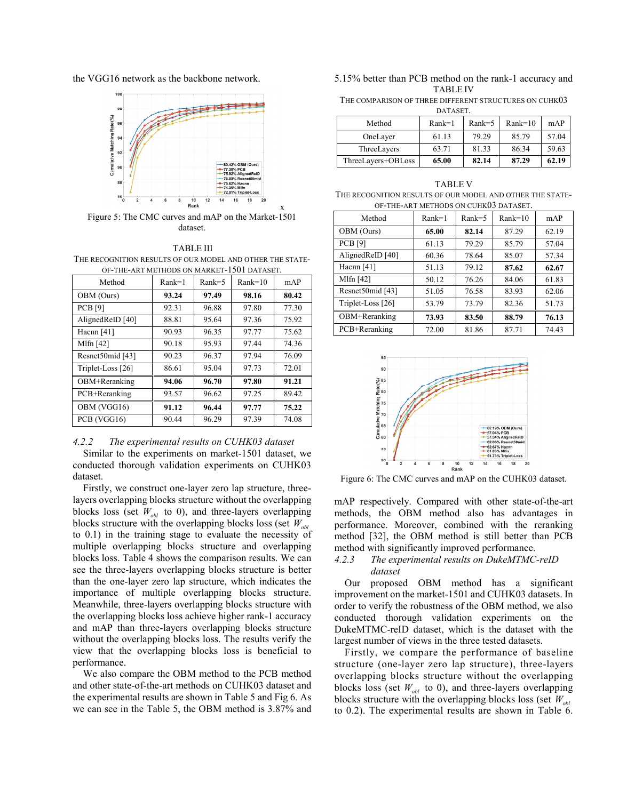the VGG16 network as the backbone network.



Figure 5: The CMC curves and mAP on the Market-1501 dataset.

x

#### TABLE III

THE RECOGNITION RESULTS OF OUR MODEL AND OTHER THE STATE-OF-THE-ART METHODS ON MARKET-1501 DATASET.

| Method            | $Rank=1$ | $Rank=5$ | $Rank=10$ | mAP   |
|-------------------|----------|----------|-----------|-------|
| OBM (Ours)        | 93.24    | 97.49    | 98.16     | 80.42 |
| <b>PCB</b> [9]    | 92.31    | 96.88    | 97.80     | 77.30 |
| AlignedReID [40]  | 88.81    | 95.64    | 97.36     | 75.92 |
| Hacnn $[41]$      | 90.93    | 96.35    | 97.77     | 75.62 |
| Mlfn $[42]$       | 90.18    | 95.93    | 97.44     | 74.36 |
| Resnet50mid [43]  | 90.23    | 96.37    | 97.94     | 76.09 |
| Triplet-Loss [26] | 86.61    | 95.04    | 97.73     | 72.01 |
| OBM+Reranking     | 94.06    | 96.70    | 97.80     | 91.21 |
| PCB+Reranking     | 93.57    | 96.62    | 97.25     | 89.42 |
| OBM (VGG16)       | 91.12    | 96.44    | 97.77     | 75.22 |
| PCB (VGG16)       | 90.44    | 96.29    | 97.39     | 74.08 |

#### *4.2.2 The experimental results on CUHK03 dataset*

Similar to the experiments on market-1501 dataset, we conducted thorough validation experiments on CUHK03 dataset.

Firstly, we construct one-layer zero lap structure, threelayers overlapping blocks structure without the overlapping blocks loss (set  $W_{obl}$  to 0), and three-layers overlapping blocks structure with the overlapping blocks loss (set *Wobl* to 0.1) in the training stage to evaluate the necessity of multiple overlapping blocks structure and overlapping blocks loss. Table 4 shows the comparison results. We can see the three-layers overlapping blocks structure is better than the one-layer zero lap structure, which indicates the importance of multiple overlapping blocks structure. Meanwhile, three-layers overlapping blocks structure with the overlapping blocks loss achieve higher rank-1 accuracy and mAP than three-layers overlapping blocks structure without the overlapping blocks loss. The results verify the view that the overlapping blocks loss is beneficial to performance.

We also compare the OBM method to the PCB method and other state-of-the-art methods on CUHK03 dataset and the experimental results are shown in Table 5 and Fig 6. As we can see in the Table 5, the OBM method is 3.87% and 5.15% better than PCB method on the rank-1 accuracy and TABLE IV

THE COMPARISON OF THREE DIFFERENT STRUCTURES ON CUHK03

| DATASET.           |          |          |           |       |  |  |
|--------------------|----------|----------|-----------|-------|--|--|
| Method             | $Rank=1$ | $Rank=5$ | $Rank=10$ | mAP   |  |  |
| OneLayer           | 61.13    | 79.29    | 85.79     | 57.04 |  |  |
| ThreeLayers        | 63.71    | 81.33    | 86.34     | 59.63 |  |  |
| ThreeLayers+OBLoss | 65.00    | 82.14    | 87.29     | 62.19 |  |  |

| <b>TABLE V</b>                                            |
|-----------------------------------------------------------|
| THE RECOGNITION RESULTS OF OUR MODEL AND OTHER THE STATE- |
| OF-THE-ART METHODS ON CUHK03 DATASET.                     |

| Method            | $Rank=1$ | $Rank=5$ | $Rank=10$ | mAP   |
|-------------------|----------|----------|-----------|-------|
| OBM (Ours)        | 65.00    | 82.14    | 87.29     | 62.19 |
| PCB [9]           | 61.13    | 79.29    | 85.79     | 57.04 |
| AlignedReID [40]  | 60.36    | 78.64    | 85.07     | 57.34 |
| Hacnn $[41]$      | 51.13    | 79.12    | 87.62     | 62.67 |
| Mlfn $[42]$       | 50.12    | 76.26    | 84.06     | 61.83 |
| Resnet50mid [43]  | 51.05    | 76.58    | 83.93     | 62.06 |
| Triplet-Loss [26] | 53.79    | 73.79    | 82.36     | 51.73 |
| OBM+Reranking     | 73.93    | 83.50    | 88.79     | 76.13 |
| PCB+Reranking     | 72.00    | 81.86    | 87.71     | 74.43 |



Figure 6: The CMC curves and mAP on the CUHK03 dataset.

mAP respectively. Compared with other state-of-the-art methods, the OBM method also has advantages in performance. Moreover, combined with the reranking method [32], the OBM method is still better than PCB method with significantly improved performance.

# *4.2.3 The experimental results on DukeMTMC-reID dataset*

Our proposed OBM method has a significant improvement on the market-1501 and CUHK03 datasets. In order to verify the robustness of the OBM method, we also conducted thorough validation experiments on the DukeMTMC-reID dataset, which is the dataset with the largest number of views in the three tested datasets.

Firstly, we compare the performance of baseline structure (one-layer zero lap structure), three-layers overlapping blocks structure without the overlapping blocks loss (set  $W_{obl}$  to 0), and three-layers overlapping blocks structure with the overlapping blocks loss (set *Wobl* to 0.2). The experimental results are shown in Table 6.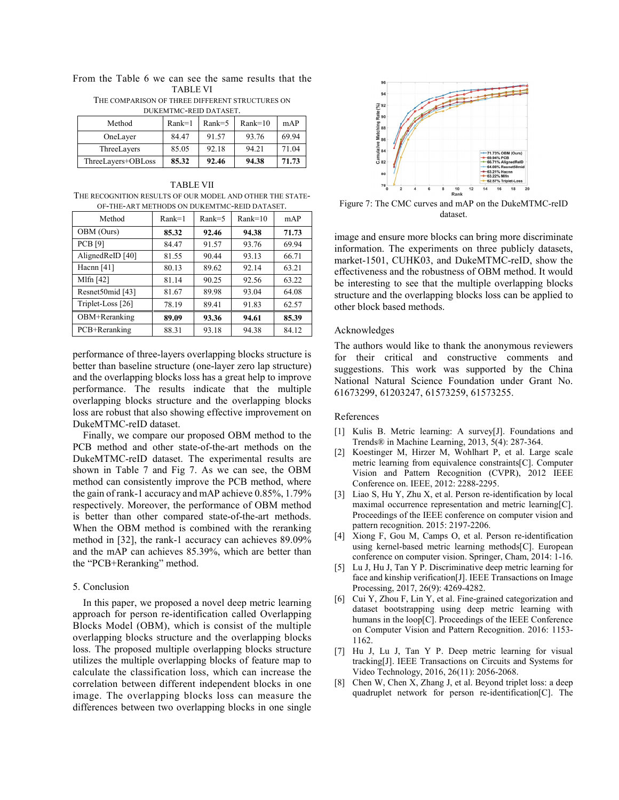|                                                 |  |  |  |  |  |          |  | From the Table 6 we can see the same results that the |  |
|-------------------------------------------------|--|--|--|--|--|----------|--|-------------------------------------------------------|--|
|                                                 |  |  |  |  |  | TABLE VI |  |                                                       |  |
| THE COMPARISON OF THREE DIFFERENT STRUCTURES ON |  |  |  |  |  |          |  |                                                       |  |

DUKEMTMC-REID DATASET.

| DUNEM HMC-NEID DATASET. |          |          |           |       |  |  |
|-------------------------|----------|----------|-----------|-------|--|--|
| Method                  | $Rank=1$ | $Rank=5$ | $Rank=10$ | mAP   |  |  |
| OneLayer                | 84.47    | 91.57    | 93.76     | 69.94 |  |  |
| ThreeLayers             | 85.05    | 92.18    | 94.21     | 71.04 |  |  |
| ThreeLayers+OBLoss      | 85.32    | 92.46    | 94.38     | 71.73 |  |  |

TABLE VII THE RECOGNITION RESULTS OF OUR MODEL AND OTHER THE STATE-OF-THE-ART METHODS ON DUKEMTMC-REID DATASET.

| Method            | $Rank=1$ | $Rank=5$ | $Rank=10$ | mAP   |
|-------------------|----------|----------|-----------|-------|
| OBM (Ours)        | 85.32    | 92.46    | 94.38     | 71.73 |
| <b>PCB</b> [9]    | 84.47    | 91.57    | 93.76     | 69.94 |
| AlignedReID [40]  | 81.55    | 90.44    | 93.13     | 66.71 |
| Hacnn $[41]$      | 80.13    | 89.62    | 92.14     | 63.21 |
| Mlfn $[42]$       | 81.14    | 90.25    | 92.56     | 63.22 |
| Resnet50mid [43]  | 81.67    | 89.98    | 93.04     | 64.08 |
| Triplet-Loss [26] | 78.19    | 89.41    | 91.83     | 62.57 |
| OBM+Reranking     | 89.09    | 93.36    | 94.61     | 85.39 |
| PCB+Reranking     | 88.31    | 93.18    | 94.38     | 84.12 |
|                   |          |          |           |       |

performance of three-layers overlapping blocks structure is better than baseline structure (one-layer zero lap structure) and the overlapping blocks loss has a great help to improve performance. The results indicate that the multiple overlapping blocks structure and the overlapping blocks loss are robust that also showing effective improvement on DukeMTMC-reID dataset.

Finally, we compare our proposed OBM method to the PCB method and other state-of-the-art methods on the DukeMTMC-reID dataset. The experimental results are shown in Table 7 and Fig 7. As we can see, the OBM method can consistently improve the PCB method, where the gain of rank-1 accuracy and mAP achieve 0.85%, 1.79% respectively. Moreover, the performance of OBM method is better than other compared state-of-the-art methods. When the OBM method is combined with the reranking method in [32], the rank-1 accuracy can achieves 89.09% and the mAP can achieves 85.39%, which are better than the "PCB+Reranking" method.

# 5. Conclusion

In this paper, we proposed a novel deep metric learning approach for person re-identification called Overlapping Blocks Model (OBM), which is consist of the multiple overlapping blocks structure and the overlapping blocks loss. The proposed multiple overlapping blocks structure utilizes the multiple overlapping blocks of feature map to calculate the classification loss, which can increase the correlation between different independent blocks in one image. The overlapping blocks loss can measure the differences between two overlapping blocks in one single



Figure 7: The CMC curves and mAP on the DukeMTMC-reID dataset.

image and ensure more blocks can bring more discriminate information. The experiments on three publicly datasets, market-1501, CUHK03, and DukeMTMC-reID, show the effectiveness and the robustness of OBM method. It would be interesting to see that the multiple overlapping blocks structure and the overlapping blocks loss can be applied to other block based methods.

# Acknowledges

The authors would like to thank the anonymous reviewers for their critical and constructive comments and suggestions. This work was supported by the China National Natural Science Foundation under Grant No. 61673299, 61203247, 61573259, 61573255.

# References

- [1] Kulis B. Metric learning: A survey[J]. Foundations and Trends® in Machine Learning, 2013, 5(4): 287-364.
- [2] Koestinger M, Hirzer M, Wohlhart P, et al. Large scale metric learning from equivalence constraints[C]. Computer Vision and Pattern Recognition (CVPR), 2012 IEEE Conference on. IEEE, 2012: 2288-2295.
- [3] Liao S, Hu Y, Zhu X, et al. Person re-identification by local maximal occurrence representation and metric learning[C]. Proceedings of the IEEE conference on computer vision and pattern recognition. 2015: 2197-2206.
- [4] Xiong F, Gou M, Camps O, et al. Person re-identification using kernel-based metric learning methods[C]. European conference on computer vision. Springer, Cham, 2014: 1-16.
- [5] Lu J, Hu J, Tan Y P. Discriminative deep metric learning for face and kinship verification[J]. IEEE Transactions on Image Processing, 2017, 26(9): 4269-4282.
- [6] Cui Y, Zhou F, Lin Y, et al. Fine-grained categorization and dataset bootstrapping using deep metric learning with humans in the loop[C]. Proceedings of the IEEE Conference on Computer Vision and Pattern Recognition. 2016: 1153- 1162.
- [7] Hu J, Lu J, Tan Y P. Deep metric learning for visual tracking[J]. IEEE Transactions on Circuits and Systems for Video Technology, 2016, 26(11): 2056-2068.
- [8] Chen W, Chen X, Zhang J, et al. Beyond triplet loss: a deep quadruplet network for person re-identification[C]. The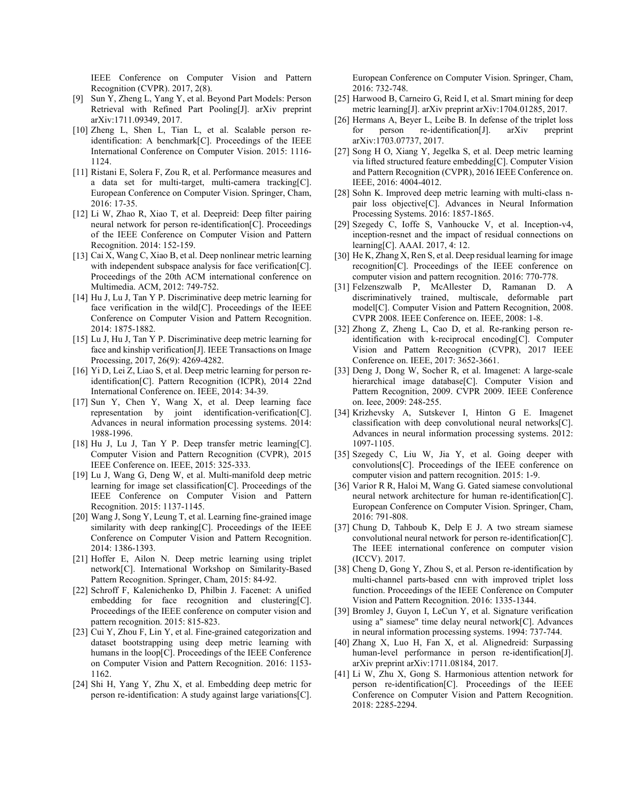IEEE Conference on Computer Vision and Pattern Recognition (CVPR). 2017, 2(8).

- [9] Sun Y, Zheng L, Yang Y, et al. Beyond Part Models: Person Retrieval with Refined Part Pooling[J]. arXiv preprint arXiv:1711.09349, 2017.
- [10] Zheng L, Shen L, Tian L, et al. Scalable person reidentification: A benchmark[C]. Proceedings of the IEEE International Conference on Computer Vision. 2015: 1116- 1124.
- [11] Ristani E, Solera F, Zou R, et al. Performance measures and a data set for multi-target, multi-camera tracking[C]. European Conference on Computer Vision. Springer, Cham, 2016: 17-35.
- [12] Li W, Zhao R, Xiao T, et al. Deepreid: Deep filter pairing neural network for person re-identification[C]. Proceedings of the IEEE Conference on Computer Vision and Pattern Recognition. 2014: 152-159.
- [13] Cai X, Wang C, Xiao B, et al. Deep nonlinear metric learning with independent subspace analysis for face verification[C]. Proceedings of the 20th ACM international conference on Multimedia. ACM, 2012: 749-752.
- [14] Hu J, Lu J, Tan Y P. Discriminative deep metric learning for face verification in the wild[C]. Proceedings of the IEEE Conference on Computer Vision and Pattern Recognition. 2014: 1875-1882.
- [15] Lu J, Hu J, Tan Y P. Discriminative deep metric learning for face and kinship verification[J]. IEEE Transactions on Image Processing, 2017, 26(9): 4269-4282.
- [16] Yi D, Lei Z, Liao S, et al. Deep metric learning for person reidentification[C]. Pattern Recognition (ICPR), 2014 22nd International Conference on. IEEE, 2014: 34-39.
- [17] Sun Y, Chen Y, Wang X, et al. Deep learning face representation by joint identification-verification[C]. Advances in neural information processing systems. 2014: 1988-1996.
- [18] Hu J, Lu J, Tan Y P. Deep transfer metric learning[C]. Computer Vision and Pattern Recognition (CVPR), 2015 IEEE Conference on. IEEE, 2015: 325-333.
- [19] Lu J, Wang G, Deng W, et al. Multi-manifold deep metric learning for image set classification[C]. Proceedings of the IEEE Conference on Computer Vision and Pattern Recognition. 2015: 1137-1145.
- [20] Wang J, Song Y, Leung T, et al. Learning fine-grained image similarity with deep ranking[C]. Proceedings of the IEEE Conference on Computer Vision and Pattern Recognition. 2014: 1386-1393.
- [21] Hoffer E, Ailon N. Deep metric learning using triplet network[C]. International Workshop on Similarity-Based Pattern Recognition. Springer, Cham, 2015: 84-92.
- [22] Schroff F, Kalenichenko D, Philbin J. Facenet: A unified embedding for face recognition and clustering[C]. Proceedings of the IEEE conference on computer vision and pattern recognition. 2015: 815-823.
- [23] Cui Y, Zhou F, Lin Y, et al. Fine-grained categorization and dataset bootstrapping using deep metric learning with humans in the loop[C]. Proceedings of the IEEE Conference on Computer Vision and Pattern Recognition. 2016: 1153- 1162.
- [24] Shi H, Yang Y, Zhu X, et al. Embedding deep metric for person re-identification: A study against large variations[C].

European Conference on Computer Vision. Springer, Cham, 2016: 732-748.

- [25] Harwood B, Carneiro G, Reid I, et al. Smart mining for deep metric learning[J]. arXiv preprint arXiv:1704.01285, 2017.
- [26] Hermans A, Beyer L, Leibe B. In defense of the triplet loss for person re-identification[J]. arXiv preprint arXiv:1703.07737, 2017.
- [27] Song H O, Xiang Y, Jegelka S, et al. Deep metric learning via lifted structured feature embedding[C]. Computer Vision and Pattern Recognition (CVPR), 2016 IEEE Conference on. IEEE, 2016: 4004-4012.
- [28] Sohn K. Improved deep metric learning with multi-class npair loss objective[C]. Advances in Neural Information Processing Systems. 2016: 1857-1865.
- [29] Szegedy C, Ioffe S, Vanhoucke V, et al. Inception-v4, inception-resnet and the impact of residual connections on learning[C]. AAAI. 2017, 4: 12.
- [30] He K, Zhang X, Ren S, et al. Deep residual learning for image recognition[C]. Proceedings of the IEEE conference on computer vision and pattern recognition. 2016: 770-778.
- [31] Felzenszwalb P, McAllester D, Ramanan D. A discriminatively trained, multiscale, deformable part model[C]. Computer Vision and Pattern Recognition, 2008. CVPR 2008. IEEE Conference on. IEEE, 2008: 1-8.
- [32] Zhong Z, Zheng L, Cao D, et al. Re-ranking person reidentification with k-reciprocal encoding[C]. Computer Vision and Pattern Recognition (CVPR), 2017 IEEE Conference on. IEEE, 2017: 3652-3661.
- [33] Deng J, Dong W, Socher R, et al. Imagenet: A large-scale hierarchical image database<sup>[C]</sup>. Computer Vision and Pattern Recognition, 2009. CVPR 2009. IEEE Conference on. Ieee, 2009: 248-255.
- [34] Krizhevsky A, Sutskever I, Hinton G E. Imagenet classification with deep convolutional neural networks[C]. Advances in neural information processing systems. 2012: 1097-1105.
- [35] Szegedy C, Liu W, Jia Y, et al. Going deeper with convolutions[C]. Proceedings of the IEEE conference on computer vision and pattern recognition. 2015: 1-9.
- [36] Varior R R, Haloi M, Wang G. Gated siamese convolutional neural network architecture for human re-identification[C]. European Conference on Computer Vision. Springer, Cham, 2016: 791-808.
- [37] Chung D, Tahboub K, Delp E J. A two stream siamese convolutional neural network for person re-identification[C]. The IEEE international conference on computer vision (ICCV). 2017.
- [38] Cheng D, Gong Y, Zhou S, et al. Person re-identification by multi-channel parts-based cnn with improved triplet loss function. Proceedings of the IEEE Conference on Computer Vision and Pattern Recognition. 2016: 1335-1344.
- [39] Bromley J, Guyon I, LeCun Y, et al. Signature verification using a" siamese" time delay neural network[C]. Advances in neural information processing systems. 1994: 737-744.
- [40] Zhang X, Luo H, Fan X, et al. Alignedreid: Surpassing human-level performance in person re-identification[J]. arXiv preprint arXiv:1711.08184, 2017.
- [41] Li W, Zhu X, Gong S. Harmonious attention network for person re-identification[C]. Proceedings of the IEEE Conference on Computer Vision and Pattern Recognition. 2018: 2285-2294.